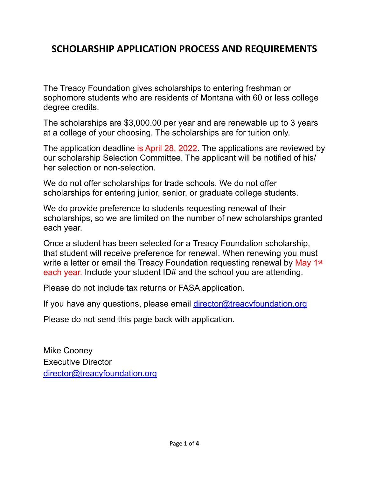# **SCHOLARSHIP APPLICATION PROCESS AND REQUIREMENTS**

The Treacy Foundation gives scholarships to entering freshman or sophomore students who are residents of Montana with 60 or less college degree credits.

The scholarships are \$3,000.00 per year and are renewable up to 3 years at a college of your choosing. The scholarships are for tuition only.

The application deadline is April 28, 2022. The applications are reviewed by our scholarship Selection Committee. The applicant will be notified of his/ her selection or non-selection.

We do not offer scholarships for trade schools. We do not offer scholarships for entering junior, senior, or graduate college students.

We do provide preference to students requesting renewal of their scholarships, so we are limited on the number of new scholarships granted each year.

Once a student has been selected for a Treacy Foundation scholarship, that student will receive preference for renewal. When renewing you must write a letter or email the Treacy Foundation requesting renewal by May 1<sup>st</sup> each year. Include your student ID# and the school you are attending.

Please do not include tax returns or FASA application.

If you have any questions, please email [director@treacyfoundation.org](mailto:director@treacyfoundation.org)

Please do not send this page back with application.

Mike Cooney Executive Director [director@treacyfoundation.org](mailto:director@treacyfoundation.org)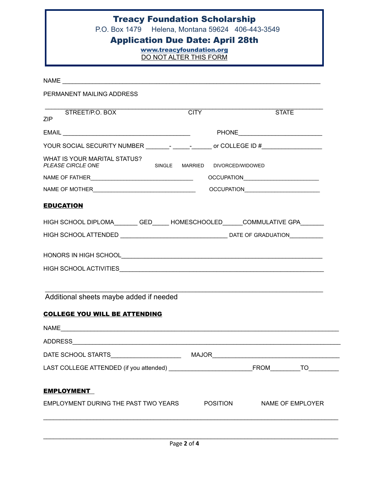# Treacy Foundation Scholarship

P.O. Box 1479 Helena, Montana 59624 406-443-3549

### Application Due Date: April 28th

[www.treacyfoundation.org](http://www.treacyfoundation.org) DO NOT ALTER THIS FORM

 $NAME$ PERMANENT MAILING ADDRESS \_\_\_\_\_\_\_\_\_\_\_\_\_\_\_\_\_\_\_\_\_\_\_\_\_\_\_\_\_\_\_\_\_\_\_\_\_\_\_\_\_\_\_\_\_\_\_\_\_\_\_\_\_\_\_\_\_\_\_\_\_\_\_\_\_\_\_\_\_\_\_\_\_\_\_\_\_\_\_\_\_\_\_ STREET/P.O. BOX CITY STATE STATE ZIP EMAIL \_\_\_\_\_\_\_\_\_\_\_\_\_\_\_\_\_\_\_\_\_\_\_\_\_\_\_\_\_\_\_\_\_\_\_\_\_\_ PHONE\_\_\_\_\_\_\_\_\_\_\_\_\_\_\_\_\_\_\_\_\_\_\_\_\_ YOUR SOCIAL SECURITY NUMBER The second of COLLEGE ID # WHAT IS YOUR MARITAL STATUS?<br>PLEASE CIRCLE ONE *PRINGLE MARRIED DIVORCED/WIDOWED* NAME OF FATHER\_\_\_\_\_\_\_\_\_\_\_\_\_\_\_\_\_\_\_\_\_\_\_\_\_\_\_\_\_\_\_\_\_\_ OCCUPATION\_\_\_\_\_\_\_\_\_\_\_\_\_\_\_\_\_\_\_\_\_\_\_\_\_ NAME OF MOTHER GERAL ENGINEER AND RESERVE OCCUPATION EDUCATION HIGH SCHOOL DIPLOMA\_\_\_\_\_\_\_\_ GED\_\_\_\_\_\_ HOMESCHOOLED\_\_\_\_\_\_COMMULATIVE GPA\_\_\_\_\_\_\_ HIGH SCHOOL ATTENDED \_\_\_\_\_\_\_\_\_\_\_\_\_\_\_\_\_\_\_\_\_\_\_\_\_\_\_\_\_\_\_\_ DATE OF GRADUATION\_\_\_\_\_\_\_\_\_\_ HONORS IN HIGH SCHOOL\_\_\_\_\_\_\_\_\_\_\_\_\_\_\_\_\_\_\_\_\_\_\_\_\_\_\_\_\_\_\_\_\_\_\_\_\_\_\_\_\_\_\_\_\_\_\_\_\_\_\_\_\_\_\_\_\_\_\_\_ HIGH SCHOOL ACTIVITIES\_\_\_\_\_\_\_\_\_\_\_\_\_\_\_\_\_\_\_\_\_\_\_\_\_\_\_\_\_\_\_\_\_\_\_\_\_\_\_\_\_\_\_\_\_\_\_\_\_\_\_\_\_\_\_\_\_\_\_\_\_  $\mathcal{L}_\text{max} = \frac{1}{2} \sum_{i=1}^{n} \frac{1}{2} \sum_{i=1}^{n} \frac{1}{2} \sum_{i=1}^{n} \frac{1}{2} \sum_{i=1}^{n} \frac{1}{2} \sum_{i=1}^{n} \frac{1}{2} \sum_{i=1}^{n} \frac{1}{2} \sum_{i=1}^{n} \frac{1}{2} \sum_{i=1}^{n} \frac{1}{2} \sum_{i=1}^{n} \frac{1}{2} \sum_{i=1}^{n} \frac{1}{2} \sum_{i=1}^{n} \frac{1}{2} \sum_{i=1}^{n} \frac{1$  Additional sheets maybe added if needed COLLEGE YOU WILL BE ATTENDING  $NAME$ ADDRESS $\blacksquare$ DATE SCHOOL STARTS\_\_\_\_\_\_\_\_\_\_\_\_\_\_\_\_\_\_\_\_\_ MAJOR\_\_\_\_\_\_\_\_\_\_\_\_\_\_\_\_\_\_\_\_\_\_\_\_\_\_\_\_\_\_\_\_\_\_\_\_\_\_ LAST COLLEGE ATTENDED (if you attended) \_\_\_\_\_\_\_\_\_\_\_\_\_\_\_\_\_\_\_\_\_\_\_\_\_FROM\_\_\_\_\_\_\_\_\_TO\_\_\_\_\_\_\_\_\_ **EMPLOYMENT** EMPLOYMENT DURING THE PAST TWO YEARS POSITION NAME OF EMPLOYER  $\mathcal{L}_\text{max}$  , and the contribution of the contribution of the contribution of the contribution of the contribution of the contribution of the contribution of the contribution of the contribution of the contribution of t

 $\_$  ,  $\_$  ,  $\_$  ,  $\_$  ,  $\_$  ,  $\_$  ,  $\_$  ,  $\_$  ,  $\_$  ,  $\_$  ,  $\_$  ,  $\_$  ,  $\_$  ,  $\_$  ,  $\_$  ,  $\_$  ,  $\_$  ,  $\_$  ,  $\_$  ,  $\_$  ,  $\_$  ,  $\_$  ,  $\_$  ,  $\_$  ,  $\_$  ,  $\_$  ,  $\_$  ,  $\_$  ,  $\_$  ,  $\_$  ,  $\_$  ,  $\_$  ,  $\_$  ,  $\_$  ,  $\_$  ,  $\_$  ,  $\_$  ,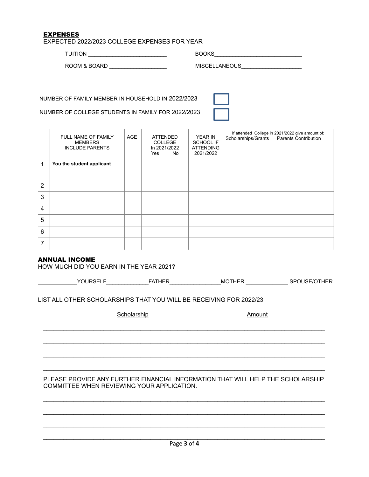#### EXPENSES

EXPECTED 2022/2023 COLLEGE EXPENSES FOR YEAR

TUITION \_\_\_\_\_\_\_\_\_\_\_\_\_\_\_\_\_\_\_\_\_\_\_\_\_\_ BOOKS\_\_\_\_\_\_\_\_\_\_\_\_\_\_\_\_\_\_\_\_\_\_\_\_\_\_\_\_\_

ROOM & BOARD \_\_\_\_\_\_\_\_\_\_\_\_\_\_\_\_\_\_\_ MISCELLANEOUS\_\_\_\_\_\_\_\_\_\_\_\_\_\_\_\_\_\_\_\_

NUMBER OF FAMILY MEMBER IN HOUSEHOLD IN 2022/2023

NUMBER OF COLLEGE STUDENTS IN FAMILY FOR 2022/2023

|                | FULL NAME OF FAMILY<br><b>MEMBERS</b><br><b>INCLUDE PARENTS</b> | <b>AGE</b> | <b>ATTENDED</b><br><b>COLLEGE</b><br>In 2021/2022<br>Yes<br>No | YEAR IN<br><b>SCHOOL IF</b><br><b>ATTENDING</b><br>2021/2022 | If attended College in 2021/2022 give amount of:<br>Scholarships/Grants Parents Contribution |
|----------------|-----------------------------------------------------------------|------------|----------------------------------------------------------------|--------------------------------------------------------------|----------------------------------------------------------------------------------------------|
| 1              | You the student applicant                                       |            |                                                                |                                                              |                                                                                              |
| $\overline{2}$ |                                                                 |            |                                                                |                                                              |                                                                                              |
| 3              |                                                                 |            |                                                                |                                                              |                                                                                              |
| 4              |                                                                 |            |                                                                |                                                              |                                                                                              |
| 5              |                                                                 |            |                                                                |                                                              |                                                                                              |
| 6              |                                                                 |            |                                                                |                                                              |                                                                                              |
| 7              |                                                                 |            |                                                                |                                                              |                                                                                              |

#### ANNUAL INCOME

HOW MUCH DID YOU EARN IN THE YEAR 2021?

| $V$ $\cap$ $\cap$ $\cap$ $\cap$ $\cap$ | -- ----<br>$-$ | МÇ<br>∣H⊢R | $- -$<br> |
|----------------------------------------|----------------|------------|-----------|
|                                        |                |            |           |

LIST ALL OTHER SCHOLARSHIPS THAT YOU WILL BE RECEIVING FOR 2022/23

Scholarship Amount

PLEASE PROVIDE ANY FURTHER FINANCIAL INFORMATION THAT WILL HELP THE SCHOLARSHIP COMMITTEE WHEN REVIEWING YOUR APPLICATION.

 $\mathcal{L}_\text{max}$  , and the contribution of the contribution of the contribution of the contribution of the contribution of the contribution of the contribution of the contribution of the contribution of the contribution of t

 $\mathcal{L}_\text{max}$  , and the contribution of the contribution of the contribution of the contribution of the contribution of the contribution of the contribution of the contribution of the contribution of the contribution of t

 $\mathcal{L}_\text{max}$  , and the contribution of the contribution of the contribution of the contribution of the contribution of the contribution of the contribution of the contribution of the contribution of the contribution of t

 $\mathcal{L}_\text{G} = \{ \mathcal{L}_\text{G} = \{ \mathcal{L}_\text{G} = \{ \mathcal{L}_\text{G} = \{ \mathcal{L}_\text{G} = \{ \mathcal{L}_\text{G} = \{ \mathcal{L}_\text{G} = \{ \mathcal{L}_\text{G} = \{ \mathcal{L}_\text{G} = \{ \mathcal{L}_\text{G} = \{ \mathcal{L}_\text{G} = \{ \mathcal{L}_\text{G} = \{ \mathcal{L}_\text{G} = \{ \mathcal{L}_\text{G} = \{ \mathcal{L}_\text{G} = \{ \mathcal{L}_\text{G$ 

 $\mathcal{L}_\text{max}$  , and the contribution of the contribution of the contribution of the contribution of the contribution of the contribution of the contribution of the contribution of the contribution of the contribution of t

 $\mathcal{L}_\text{G} = \{ \mathcal{L}_\text{G} = \{ \mathcal{L}_\text{G} = \{ \mathcal{L}_\text{G} = \{ \mathcal{L}_\text{G} = \{ \mathcal{L}_\text{G} = \{ \mathcal{L}_\text{G} = \{ \mathcal{L}_\text{G} = \{ \mathcal{L}_\text{G} = \{ \mathcal{L}_\text{G} = \{ \mathcal{L}_\text{G} = \{ \mathcal{L}_\text{G} = \{ \mathcal{L}_\text{G} = \{ \mathcal{L}_\text{G} = \{ \mathcal{L}_\text{G} = \{ \mathcal{L}_\text{G$ 

 $\mathcal{L}_\text{G} = \{ \mathcal{L}_\text{G} = \{ \mathcal{L}_\text{G} = \{ \mathcal{L}_\text{G} = \{ \mathcal{L}_\text{G} = \{ \mathcal{L}_\text{G} = \{ \mathcal{L}_\text{G} = \{ \mathcal{L}_\text{G} = \{ \mathcal{L}_\text{G} = \{ \mathcal{L}_\text{G} = \{ \mathcal{L}_\text{G} = \{ \mathcal{L}_\text{G} = \{ \mathcal{L}_\text{G} = \{ \mathcal{L}_\text{G} = \{ \mathcal{L}_\text{G} = \{ \mathcal{L}_\text{G$